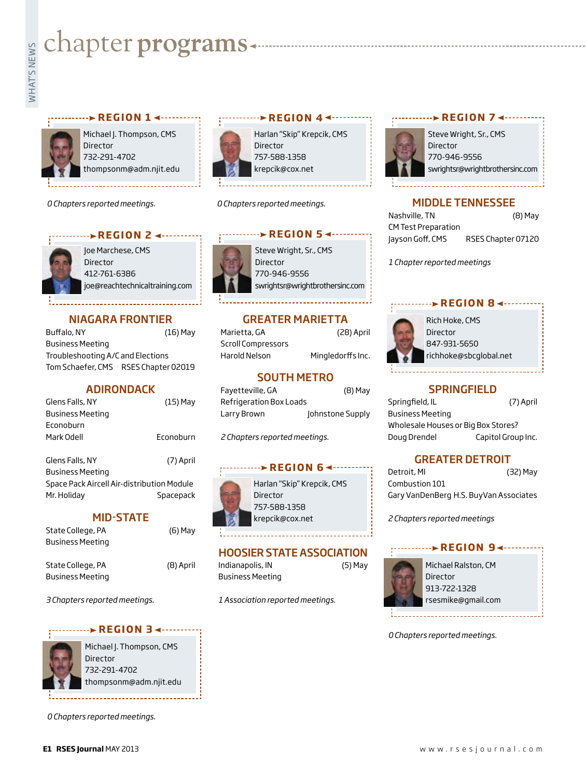# **whater programs**<br>Example:<br>Figures



Michael J. Thompson, CMS Director 732-291-4702 thompsonm@adm.njit.edu

**REGION 14 --------**

*0 Chapters reported meetings.*



Joe Marchese, CMS Director 412-761-6386 joe@reachtechnicaltraining.com

**REGION 2 4 - - - - - - - - - -**

# NIAGARA FRONTIER

Buffalo, NY (16) May Business Meeting Troubleshooting A/C and Elections Tom Schaefer, CMS RSES Chapter 02019

## **ADIRONDACK**

| Glens Falls, NY  | $(15)$ May |
|------------------|------------|
| Business Meeting |            |
| Econoburn        |            |
| Mark Odell       | Econoburn  |
|                  |            |

| Glens Falls, NY                            | (7) April |
|--------------------------------------------|-----------|
| Business Meeting                           |           |
| Space Pack Aircell Air-distribution Module |           |
| Mr. Holiday                                | Spacepack |

#### MID-STATE

| State College, PA | (6) May |
|-------------------|---------|
| Business Meeting  |         |

State College, PA (8) April Business Meeting

*3 Chapters reported meetings.*

#### **REGION 3**



Michael J. Thompson, CMS Director 732-291-4702 thompsonm@adm.njit.edu

*0 Chapters reported meetings.*



Harlan "Skip" Krepcik, CMS Director 757-588-1358 krepcik@cox.net

*0 Chapters reported meetings.*



GREATER MARIETTA

| Marietta, GA       | (28) April        |
|--------------------|-------------------|
| Scroll Compressors |                   |
| Harold Nelson      | Mingledorffs Inc. |

# SOUTH METRO

| Fayetteville, GA        | (8) May          |
|-------------------------|------------------|
| Refrigeration Box Loads |                  |
| Larry Brown             | Johnstone Supply |

*2 Chapters reported meetings.*

### **REGION 64-----**

| Harlan "Skip" Krepcik, CMS |
|----------------------------|
| Director                   |
| 757-588-1358               |
| krepcik@cox.net            |

# HOOSIER STATE ASSOCIATION

| Indianapolis, IN        | (5) May |
|-------------------------|---------|
| <b>Business Meeting</b> |         |

*1 Association reported meetings.*





# MIDDLE TENNESSEE

| Nashville, TN              | $(8)$ May          |
|----------------------------|--------------------|
| <b>CM Test Preparation</b> |                    |
| Jayson Goff, CMS           | RSES Chapter 07120 |

*1 Chapter reported meetings*

# Rich Hoke, CMS Director

847-931-5650 richhoke@sbcglobal.net

*<u>REGION 84.......</u>* 

# **SPRINGFIELD**

| Springfield, IL                     | (7) April          |  |
|-------------------------------------|--------------------|--|
| <b>Business Meeting</b>             |                    |  |
| Wholesale Houses or Big Box Stores? |                    |  |
| Doug Drendel                        | Capitol Group Inc. |  |

# GREATER DETROIT

Detroit, MI (32) May Combustion 101 Gary VanDenBerg H.S. BuyVan Associates

*2 Chapters reported meetings*

# **REGION 94 ······**



Michael Ralston, CM Director 913-722-1328 rsesmike@gmail.com

*0 Chapters reported meetings.*